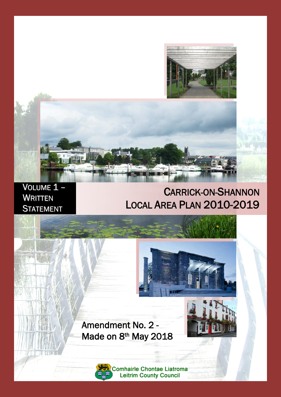



# VOLUME<sub>1</sub> -**WRITTEN STATEMENT**

# CARRICK-ON-SHANNON LOCAL AREA PLAN 2010-2019





Amendment No. 2 - Made on 8<sup>th</sup> May 2018

> **Comhairle Chontae Liatroma Leitrim County Council**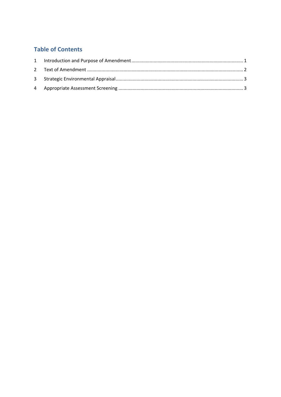# **Table of Contents**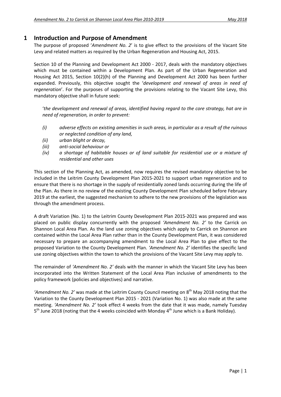## **1 Introduction and Purpose of Amendment**

The purpose of proposed '*Amendment No. 2*' is to give effect to the provisions of the Vacant Site Levy and related matters as required by the Urban Regeneration and Housing Act, 2015.

Section 10 of the Planning and Development Act 2000 ‐ 2017, deals with the mandatory objectives which must be contained within a Development Plan. As part of the Urban Regeneration and Housing Act 2015, Section 10(2)(h) of the Planning and Development Act 2000 has been further expanded. Previously, this objective sought the '*development and renewal of areas in need of regeneration*'. For the purposes of supporting the provisions relating to the Vacant Site Levy, this mandatory objective shall in future seek:

'*the development and renewal of areas, identified having regard to the core strategy, hat are in need of regeneration, in order to prevent:*

- *(i) adverse effects on existing amenities in such areas, in particular as a result of the ruinous or neglected condition of any land,*
- *(ii) urban blight or decay,*
- *(iii) anti‐social behaviour or*
- *(iv) a shortage of habitable houses or of land suitable for residential use or a mixture of residential and other uses*

This section of the Planning Act, as amended, now requires the revised mandatory objective to be included in the Leitrim County Development Plan 2015‐2021 to support urban regeneration and to ensure that there is no shortage in the supply of residentially zoned lands occurring during the life of the Plan. As there in no review of the existing County Development Plan scheduled before February 2019 at the earliest, the suggested mechanism to adhere to the new provisions of the legislation was through the amendment process.

A draft Variation (No. 1) to the Leitrim County Development Plan 2015‐2021 was prepared and was placed on public display concurrently with the proposed *'Amendment No. 2'* to the Carrick on Shannon Local Area Plan. As the land use zoning objectives which apply to Carrick on Shannon are contained within the Local Area Plan rather than in the County Development Plan, it was considered necessary to prepare an accompanying amendment to the Local Area Plan to give effect to the proposed Variation to the County Development Plan. *'Amendment No. 2'* identifies the specific land use zoning objectives within the town to which the provisions of the Vacant Site Levy may apply to.

The remainder of *'Amendment No. 2'* deals with the manner in which the Vacant Site Levy has been incorporated into the Written Statement of the Local Area Plan inclusive of amendments to the policy framework (policies and objectives) and narrative.

*'Amendment No.* 2' was made at the Leitrim County Council meeting on 8<sup>th</sup> May 2018 noting that the Variation to the County Development Plan 2015 ‐ 2021 (Variation No. 1) was also made at the same meeting. *'Amendment No. 2'* took effect 4 weeks from the date that it was made, namely Tuesday  $5<sup>th</sup>$  June 2018 (noting that the 4 weeks coincided with Monday 4<sup>th</sup> June which is a Bank Holiday).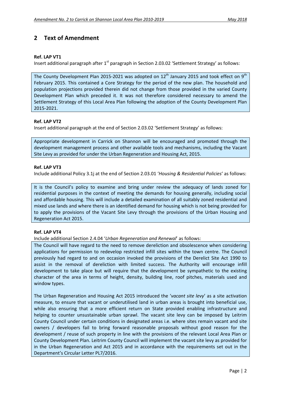# **2 Text of Amendment**

#### **Ref. LAP VT1**

Insert additional paragraph after  $1<sup>st</sup>$  paragraph in Section 2.03.02 'Settlement Strategy' as follows:

The County Development Plan 2015-2021 was adopted on  $12<sup>th</sup>$  January 2015 and took effect on 9<sup>th</sup> February 2015. This contained a Core Strategy for the period of the new plan. The household and population projections provided therein did not change from those provided in the varied County Development Plan which preceded it. It was not therefore considered necessary to amend the Settlement Strategy of this Local Area Plan following the adoption of the County Development Plan 2015‐2021.

#### **Ref. LAP VT2**

Insert additional paragraph at the end of Section 2.03.02 'Settlement Strategy' as follows:

Appropriate development in Carrick on Shannon will be encouraged and promoted through the development management process and other available tools and mechanisms, including the Vacant Site Levy as provided for under the Urban Regeneration and Housing Act, 2015.

#### **Ref. LAP VT3**

Include additional Policy 3.1j at the end of Section 2.03.01 '*Housing & Residential Policies*' as follows:

It is the Council's policy to examine and bring under review the adequacy of lands zoned for residential purposes in the context of meeting the demands for housing generally, including social and affordable housing. This will include a detailed examination of all suitably zoned residential and mixed use lands and where there is an identified demand for housing which is not being provided for to apply the provisions of the Vacant Site Levy through the provisions of the Urban Housing and Regeneration Act 2015.

#### **Ref. LAP VT4**

Include additional Section 2.4.04 '*Urban Regeneration and Renewal*' as follows:

The Council will have regard to the need to remove dereliction and obsolescence when considering applications for permission to redevelop restricted infill sites within the town centre. The Council previously had regard to and on occasion invoked the provisions of the Derelict Site Act 1990 to assist in the removal of dereliction with limited success. The Authority will encourage infill development to take place but will require that the development be sympathetic to the existing character of the area in terms of height, density, building line, roof pitches, materials used and window types.

The Urban Regeneration and Housing Act 2015 introduced the '*vacant site levy*' as a site activation measure, to ensure that vacant or underutilised land in urban areas is brought into beneficial use, while also ensuring that a more efficient return on State provided enabling infrastructure and helping to counter unsustainable urban sprawl. The vacant site levy can be imposed by Leitrim County Council under certain conditions in designated areas i.e. where sites remain vacant and site owners / developers fail to bring forward reasonable proposals without good reason for the development / reuse of such property in line with the provisions of the relevant Local Area Plan or County Development Plan. Leitrim County Council will implement the vacant site levy as provided for in the Urban Regeneration and Act 2015 and in accordance with the requirements set out in the Department's Circular Letter PL7/2016.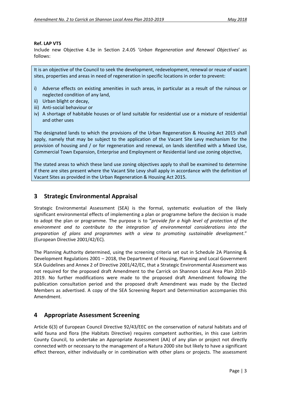#### **Ref. LAP VT5**

Include new Objective 4.3e in Section 2.4.05 '*Urban Regeneration and Renewal Objectives*' as follows:

It is an objective of the Council to seek the development, redevelopment, renewal or reuse of vacant sites, properties and areas in need of regeneration in specific locations in order to prevent:

- i) Adverse effects on existing amenities in such areas, in particular as a result of the ruinous or neglected condition of any land,
- ii) Urban blight or decay,
- iii) Anti‐social behaviour or
- iv) A shortage of habitable houses or of land suitable for residential use or a mixture of residential and other uses

The designated lands to which the provisions of the Urban Regeneration & Housing Act 2015 shall apply, namely that may be subject to the application of the Vacant Site Levy mechanism for the provision of housing and / or for regeneration and renewal, on lands identified with a Mixed Use, Commercial Town Expansion, Enterprise and Employment or Residential land use zoning objective,

The stated areas to which these land use zoning objectives apply to shall be examined to determine if there are sites present where the Vacant Site Levy shall apply in accordance with the definition of Vacant Sites as provided in the Urban Regeneration & Housing Act 2015.

## **3 Strategic Environmental Appraisal**

Strategic Environmental Assessment (SEA) is the formal, systematic evaluation of the likely significant environmental effects of implementing a plan or programme before the decision is made to adopt the plan or programme. The purpose is to "*provide for a high level of protection of the environment and to contribute to the integration of environmental considerations into the preparation of plans and programmes with a view to promoting sustainable development*." (European Directive 2001/42/EC).

The Planning Authority determined, using the screening criteria set out in Schedule 2A Planning & Development Regulations 2001 – 2018, the Department of Housing, Planning and Local Government SEA Guidelines and Annex 2 of Directive 2001/42/EC, that a Strategic Environmental Assessment was not required for the proposed draft Amendment to the Carrick on Shannon Local Area Plan 2010‐ 2019. No further modifications were made to the proposed draft Amendment following the publication consultation period and the proposed draft Amendment was made by the Elected Members as advertised. A copy of the SEA Screening Report and Determination accompanies this Amendment.

### **4 Appropriate Assessment Screening**

Article 6(3) of European Council Directive 92/43/EEC on the conservation of natural habitats and of wild fauna and flora (the Habitats Directive) requires competent authorities, in this case Leitrim County Council, to undertake an Appropriate Assessment (AA) of any plan or project not directly connected with or necessary to the management of a Natura 2000 site but likely to have a significant effect thereon, either individually or in combination with other plans or projects. The assessment